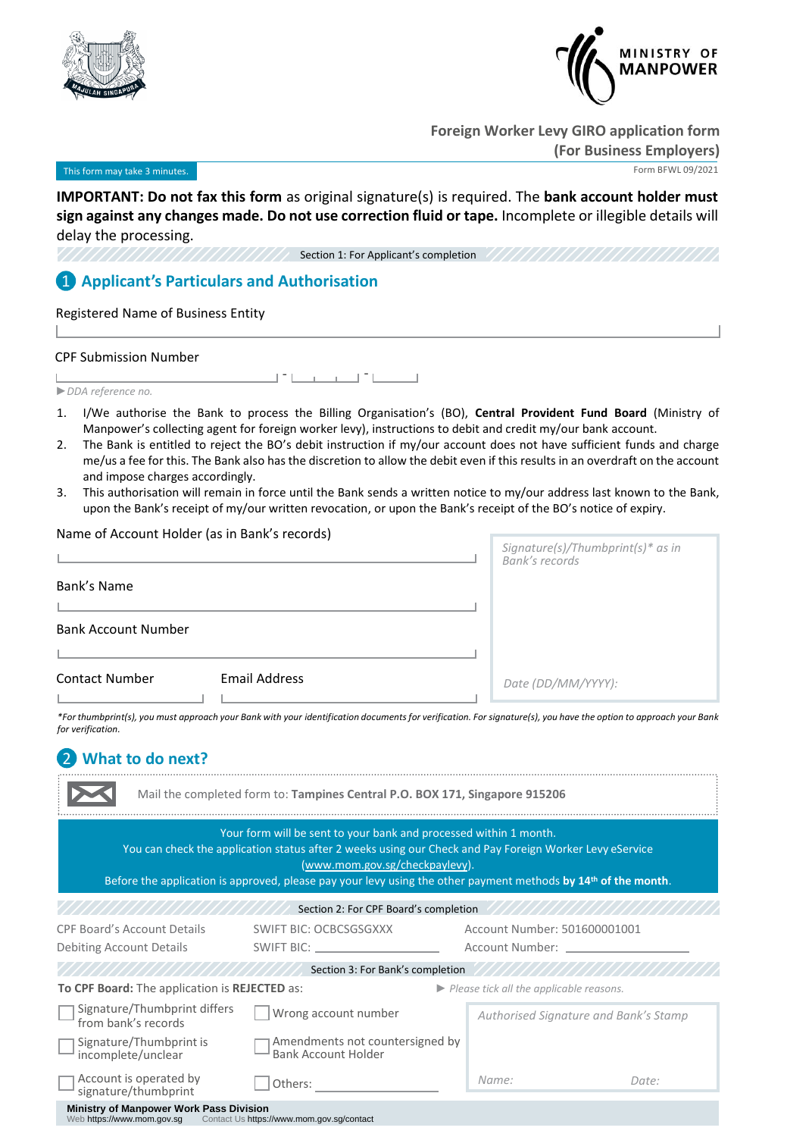



**Foreign Worker Levy GIRO application form**

**(For Business Employers)**

#### This form may take 3 minutes.

Form BFWL 09/2021

**IMPORTANT: Do not fax this form** as original signature(s) is required. The **bank account holder must sign against any changes made. Do not use correction fluid or tape.** Incomplete or illegible details will delay the processing.

Section 1: For Applicant's completion

## 1 **Applicant's Particulars and Authorisation**

Registered Name of Business Entity

### CPF Submission Number

### *►DDA reference no.*

- 1. I/We authorise the Bank to process the Billing Organisation's (BO), **Central Provident Fund Board** (Ministry of Manpower's collecting agent for foreign worker levy), instructions to debit and credit my/our bank account.
- 2. The Bank is entitled to reject the BO's debit instruction if my/our account does not have sufficient funds and charge me/us a fee for this. The Bank also has the discretion to allow the debit even if this results in an overdraft on the account and impose charges accordingly.
- 3. This authorisation will remain in force until the Bank sends a written notice to my/our address last known to the Bank, upon the Bank's receipt of my/our written revocation, or upon the Bank's receipt of the BO's notice of expiry.

| Name of Account Holder (as in Bank's records) |                                                     |  |
|-----------------------------------------------|-----------------------------------------------------|--|
|                                               | Signature(s)/Thumbprint(s)* as in<br>Bank's records |  |
| Bank's Name                                   |                                                     |  |
| <b>Bank Account Number</b>                    |                                                     |  |
|                                               |                                                     |  |
| <b>Contact Number</b><br>Email Address        | Date (DD/MM/YYYY):                                  |  |

*\*For thumbprint(s), you must approach your Bank with your identification documents for verification. For signature(s), you have the option to approach your Bank for verification.*

| <b>What to do next?</b>                                                                                                                                                                                                                                                                                                            |                                                               |                                       |       |  |  |
|------------------------------------------------------------------------------------------------------------------------------------------------------------------------------------------------------------------------------------------------------------------------------------------------------------------------------------|---------------------------------------------------------------|---------------------------------------|-------|--|--|
| Mail the completed form to: Tampines Central P.O. BOX 171, Singapore 915206                                                                                                                                                                                                                                                        |                                                               |                                       |       |  |  |
| Your form will be sent to your bank and processed within 1 month.<br>You can check the application status after 2 weeks using our Check and Pay Foreign Worker Levy eService<br>(www.mom.gov.sg/checkpaylevy).<br>Before the application is approved, please pay your levy using the other payment methods by $14th$ of the month. |                                                               |                                       |       |  |  |
|                                                                                                                                                                                                                                                                                                                                    | Section 2: For CPF Board's completion                         |                                       |       |  |  |
| <b>CPF Board's Account Details</b>                                                                                                                                                                                                                                                                                                 | SWIFT BIC: OCBCSGSGXXX                                        | Account Number: 501600001001          |       |  |  |
| Debiting Account Details                                                                                                                                                                                                                                                                                                           | SWIFT BIC: ____________                                       | Account Number:                       |       |  |  |
| Section 3: For Bank's completion                                                                                                                                                                                                                                                                                                   |                                                               |                                       |       |  |  |
| To CPF Board: The application is REJECTED as:<br>$\triangleright$ Please tick all the applicable reasons.                                                                                                                                                                                                                          |                                                               |                                       |       |  |  |
| Signature/Thumbprint differs<br>from bank's records                                                                                                                                                                                                                                                                                | Wrong account number                                          | Authorised Signature and Bank's Stamp |       |  |  |
| Signature/Thumbprint is<br>incomplete/unclear                                                                                                                                                                                                                                                                                      | Amendments not countersigned by<br><b>Bank Account Holder</b> |                                       |       |  |  |
| Account is operated by<br>signature/thumbprint                                                                                                                                                                                                                                                                                     | Others:                                                       | Name:                                 | Date: |  |  |
| Ministry of Manpower Work Pass Division<br>Web https://www.mom.gov.sq<br>Contact Us https://www.mom.gov.sq/contact                                                                                                                                                                                                                 |                                                               |                                       |       |  |  |